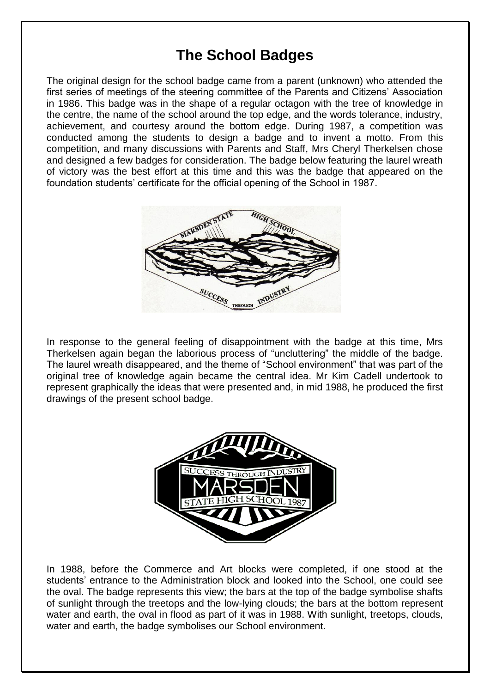## **The School Badges**

The original design for the school badge came from a parent (unknown) who attended the first series of meetings of the steering committee of the Parents and Citizens' Association in 1986. This badge was in the shape of a regular octagon with the tree of knowledge in the centre, the name of the school around the top edge, and the words tolerance, industry, achievement, and courtesy around the bottom edge. During 1987, a competition was conducted among the students to design a badge and to invent a motto. From this competition, and many discussions with Parents and Staff, Mrs Cheryl Therkelsen chose and designed a few badges for consideration. The badge below featuring the laurel wreath of victory was the best effort at this time and this was the badge that appeared on the foundation students' certificate for the official opening of the School in 1987.



In response to the general feeling of disappointment with the badge at this time, Mrs Therkelsen again began the laborious process of "uncluttering" the middle of the badge. The laurel wreath disappeared, and the theme of "School environment" that was part of the original tree of knowledge again became the central idea. Mr Kim Cadell undertook to represent graphically the ideas that were presented and, in mid 1988, he produced the first drawings of the present school badge.



In 1988, before the Commerce and Art blocks were completed, if one stood at the students' entrance to the Administration block and looked into the School, one could see the oval. The badge represents this view; the bars at the top of the badge symbolise shafts of sunlight through the treetops and the low-lying clouds; the bars at the bottom represent water and earth, the oval in flood as part of it was in 1988. With sunlight, treetops, clouds, water and earth, the badge symbolises our School environment.